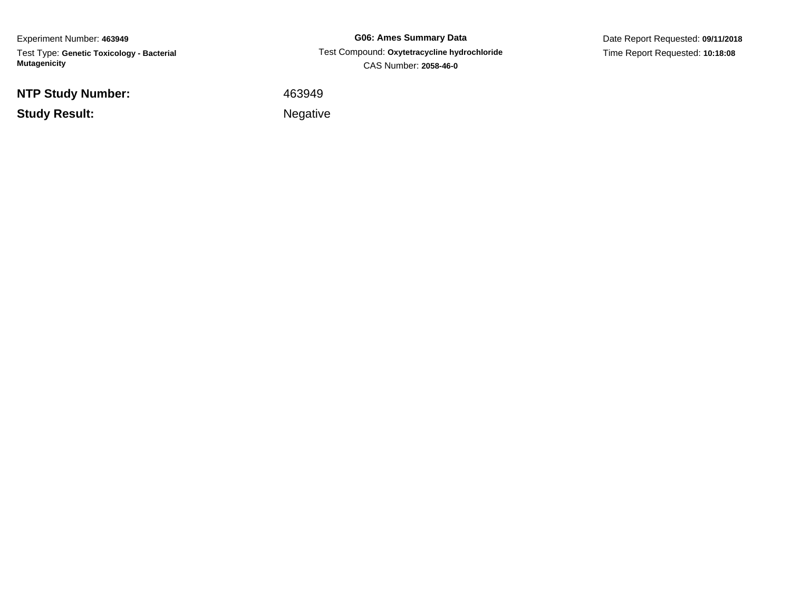Experiment Number: **463949**Test Type: **Genetic Toxicology - Bacterial Mutagenicity**

**NTP Study Number:**

**Study Result:**

**G06: Ames Summary Data** Test Compound: **Oxytetracycline hydrochloride**CAS Number: **2058-46-0**

Date Report Requested: **09/11/2018**Time Report Requested: **10:18:08**

<sup>463949</sup>

Negative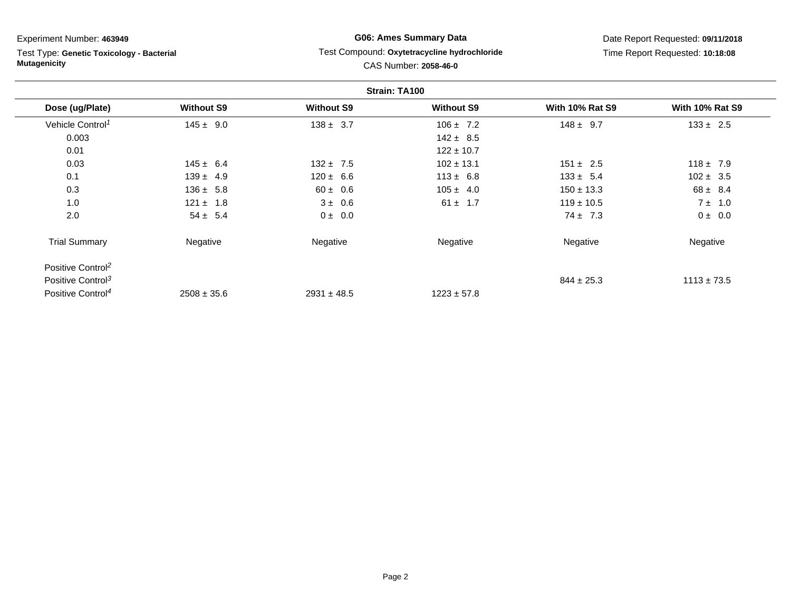Test Type: **Genetic Toxicology - Bacterial Mutagenicity**

### **G06: Ames Summary Data** Test Compound: **Oxytetracycline hydrochloride**CAS Number: **2058-46-0**

|                               |                   |                   | Strain: TA100     |                        |                        |
|-------------------------------|-------------------|-------------------|-------------------|------------------------|------------------------|
| Dose (ug/Plate)               | <b>Without S9</b> | <b>Without S9</b> | <b>Without S9</b> | <b>With 10% Rat S9</b> | <b>With 10% Rat S9</b> |
| Vehicle Control <sup>1</sup>  | $145 \pm 9.0$     | $138 \pm 3.7$     | $106 \pm 7.2$     | $148 \pm 9.7$          | $133 \pm 2.5$          |
| 0.003                         |                   |                   | $142 \pm 8.5$     |                        |                        |
| 0.01                          |                   |                   | $122 \pm 10.7$    |                        |                        |
| 0.03                          | $145 \pm 6.4$     | $132 \pm 7.5$     | $102 \pm 13.1$    | $151 \pm 2.5$          | $118 \pm 7.9$          |
| 0.1                           | $139 \pm 4.9$     | $120 \pm 6.6$     | $113 \pm 6.8$     | $133 \pm 5.4$          | $102 \pm 3.5$          |
| 0.3                           | $136 \pm 5.8$     | $60 \pm 0.6$      | $105 \pm 4.0$     | $150 \pm 13.3$         | $68 \pm 8.4$           |
| 1.0                           | $121 \pm 1.8$     | $3 \pm 0.6$       | $61 \pm 1.7$      | $119 \pm 10.5$         | $7 \pm 1.0$            |
| 2.0                           | $54 \pm 5.4$      | $0 \pm 0.0$       |                   | $74 \pm 7.3$           | $0 \pm 0.0$            |
| <b>Trial Summary</b>          | Negative          | Negative          | Negative          | Negative               | Negative               |
| Positive Control <sup>2</sup> |                   |                   |                   |                        |                        |
| Positive Control <sup>3</sup> |                   |                   |                   | $844 \pm 25.3$         | $1113 \pm 73.5$        |
| Positive Control <sup>4</sup> | $2508 \pm 35.6$   | $2931 \pm 48.5$   | $1223 \pm 57.8$   |                        |                        |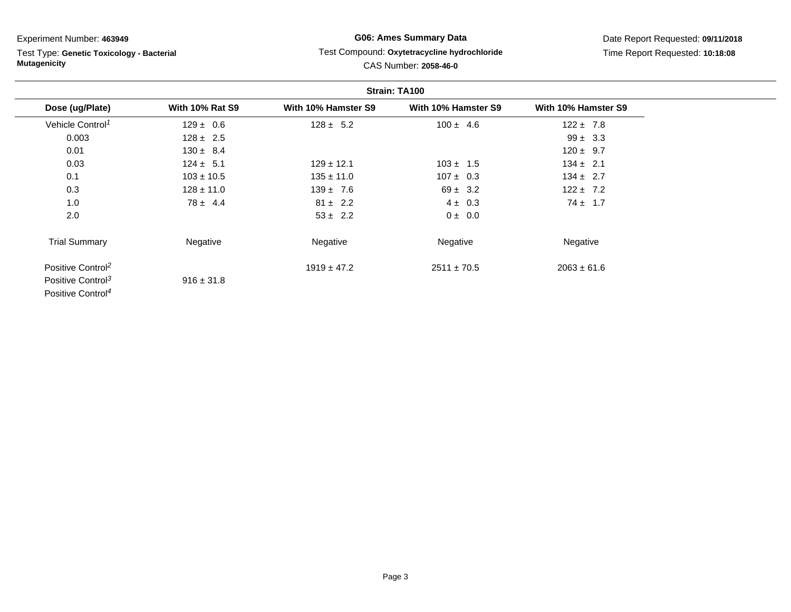Test Type: **Genetic Toxicology - Bacterial Mutagenicity**

## **G06: Ames Summary Data**Test Compound: **Oxytetracycline hydrochloride**

Date Report Requested: **09/11/2018**Time Report Requested: **10:18:08**

# CAS Number: **2058-46-0**

|                               |                        | Strain: TA100       |                     |                     |  |  |
|-------------------------------|------------------------|---------------------|---------------------|---------------------|--|--|
| Dose (ug/Plate)               | <b>With 10% Rat S9</b> | With 10% Hamster S9 | With 10% Hamster S9 | With 10% Hamster S9 |  |  |
| Vehicle Control <sup>1</sup>  | $129 \pm 0.6$          | $128 \pm 5.2$       | $100 \pm 4.6$       | $122 \pm 7.8$       |  |  |
| 0.003                         | $128 \pm 2.5$          |                     |                     | $99 \pm 3.3$        |  |  |
| 0.01                          | $130 \pm 8.4$          |                     |                     | $120 \pm 9.7$       |  |  |
| 0.03                          | $124 \pm 5.1$          | $129 \pm 12.1$      | $103 \pm 1.5$       | $134 \pm 2.1$       |  |  |
| 0.1                           | $103 \pm 10.5$         | $135 \pm 11.0$      | $107 \pm 0.3$       | $134 \pm 2.7$       |  |  |
| 0.3                           | $128 \pm 11.0$         | $139 \pm 7.6$       | $69 \pm 3.2$        | $122 \pm 7.2$       |  |  |
| 1.0                           | $78 \pm 4.4$           | $81 \pm 2.2$        | $4 \pm 0.3$         | $74 \pm 1.7$        |  |  |
| 2.0                           |                        | $53 \pm 2.2$        | $0 \pm 0.0$         |                     |  |  |
| <b>Trial Summary</b>          | Negative               | Negative            | Negative            | Negative            |  |  |
| Positive Control <sup>2</sup> |                        | $1919 \pm 47.2$     | $2511 \pm 70.5$     | $2063 \pm 61.6$     |  |  |
| Positive Control <sup>3</sup> | $916 \pm 31.8$         |                     |                     |                     |  |  |
| Positive Control <sup>4</sup> |                        |                     |                     |                     |  |  |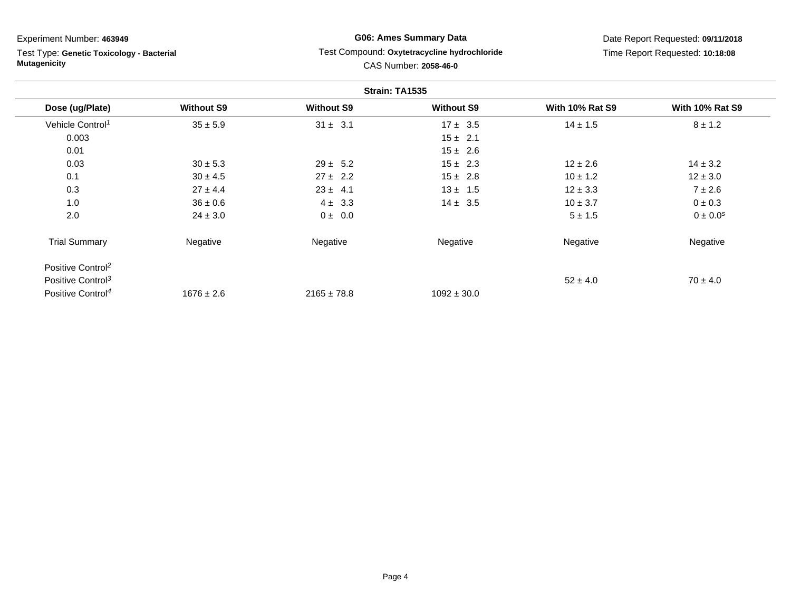Test Type: **Genetic Toxicology - Bacterial Mutagenicity**

### **G06: Ames Summary Data** Test Compound: **Oxytetracycline hydrochloride**CAS Number: **2058-46-0**

|                               |                   |                   | Strain: TA1535    |                        |                        |
|-------------------------------|-------------------|-------------------|-------------------|------------------------|------------------------|
| Dose (ug/Plate)               | <b>Without S9</b> | <b>Without S9</b> | <b>Without S9</b> | <b>With 10% Rat S9</b> | <b>With 10% Rat S9</b> |
| Vehicle Control <sup>1</sup>  | $35 \pm 5.9$      | $31 \pm 3.1$      | $17 \pm 3.5$      | $14 \pm 1.5$           | $8 \pm 1.2$            |
| 0.003                         |                   |                   | $15 \pm 2.1$      |                        |                        |
| 0.01                          |                   |                   | $15 \pm 2.6$      |                        |                        |
| 0.03                          | $30 \pm 5.3$      | $29 \pm 5.2$      | $15 \pm 2.3$      | $12 \pm 2.6$           | $14 \pm 3.2$           |
| 0.1                           | $30 \pm 4.5$      | $27 \pm 2.2$      | $15 \pm 2.8$      | $10 \pm 1.2$           | $12 \pm 3.0$           |
| 0.3                           | $27 \pm 4.4$      | $23 \pm 4.1$      | $13 \pm 1.5$      | $12 \pm 3.3$           | $7 \pm 2.6$            |
| 1.0                           | $36 \pm 0.6$      | $4 \pm 3.3$       | $14 \pm 3.5$      | $10 \pm 3.7$           | $0 \pm 0.3$            |
| 2.0                           | $24 \pm 3.0$      | $0 \pm 0.0$       |                   | $5 \pm 1.5$            | $0 \pm 0.0^{s}$        |
| <b>Trial Summary</b>          | Negative          | Negative          | Negative          | Negative               | Negative               |
| Positive Control <sup>2</sup> |                   |                   |                   |                        |                        |
| Positive Control <sup>3</sup> |                   |                   |                   | $52 \pm 4.0$           | $70 \pm 4.0$           |
| Positive Control <sup>4</sup> | $1676 \pm 2.6$    | $2165 \pm 78.8$   | $1092 \pm 30.0$   |                        |                        |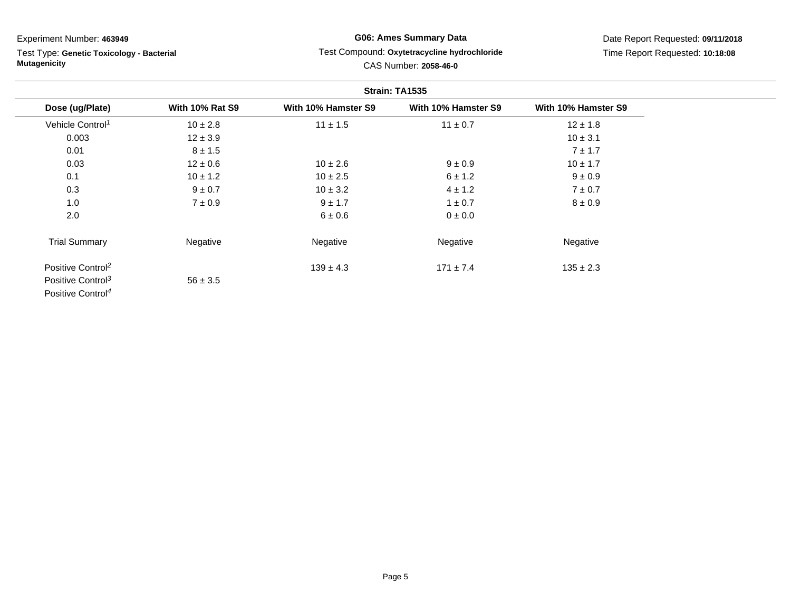Test Type: **Genetic Toxicology - Bacterial Mutagenicity**

### **G06: Ames Summary Data** Test Compound: **Oxytetracycline hydrochloride**CAS Number: **2058-46-0**

|                               |                        |                     | Strain: TA1535      |                     |
|-------------------------------|------------------------|---------------------|---------------------|---------------------|
| Dose (ug/Plate)               | <b>With 10% Rat S9</b> | With 10% Hamster S9 | With 10% Hamster S9 | With 10% Hamster S9 |
| Vehicle Control <sup>1</sup>  | $10 \pm 2.8$           | $11 \pm 1.5$        | $11 \pm 0.7$        | $12 \pm 1.8$        |
| 0.003                         | $12 \pm 3.9$           |                     |                     | $10 \pm 3.1$        |
| 0.01                          | $8 \pm 1.5$            |                     |                     | $7 \pm 1.7$         |
| 0.03                          | $12 \pm 0.6$           | $10 \pm 2.6$        | $9 \pm 0.9$         | $10 \pm 1.7$        |
| 0.1                           | $10 \pm 1.2$           | $10 \pm 2.5$        | 6 ± 1.2             | $9 \pm 0.9$         |
| 0.3                           | $9 \pm 0.7$            | $10 \pm 3.2$        | $4 \pm 1.2$         | $7 \pm 0.7$         |
| 1.0                           | $7 \pm 0.9$            | $9 \pm 1.7$         | $1 \pm 0.7$         | $8 \pm 0.9$         |
| 2.0                           |                        | $6 \pm 0.6$         | 0 ± 0.0             |                     |
| <b>Trial Summary</b>          | Negative               | Negative            | Negative            | Negative            |
| Positive Control <sup>2</sup> |                        | $139 \pm 4.3$       | $171 \pm 7.4$       | $135 \pm 2.3$       |
| Positive Control <sup>3</sup> | $56 \pm 3.5$           |                     |                     |                     |
| Positive Control <sup>4</sup> |                        |                     |                     |                     |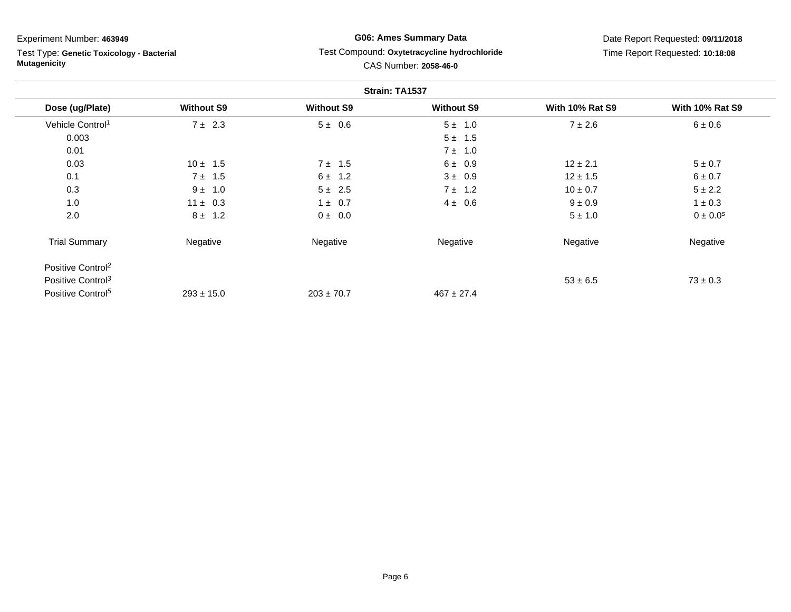Test Type: **Genetic Toxicology - Bacterial Mutagenicity**

### **G06: Ames Summary Data** Test Compound: **Oxytetracycline hydrochloride**CAS Number: **2058-46-0**

|                               |                   |                   | Strain: TA1537    |                        |                        |
|-------------------------------|-------------------|-------------------|-------------------|------------------------|------------------------|
| Dose (ug/Plate)               | <b>Without S9</b> | <b>Without S9</b> | <b>Without S9</b> | <b>With 10% Rat S9</b> | <b>With 10% Rat S9</b> |
| Vehicle Control <sup>1</sup>  | $7 \pm 2.3$       | $5 \pm 0.6$       | $5 \pm 1.0$       | $7 \pm 2.6$            | $6 \pm 0.6$            |
| 0.003                         |                   |                   | $5 \pm 1.5$       |                        |                        |
| 0.01                          |                   |                   | $7 \pm 1.0$       |                        |                        |
| 0.03                          | $10 \pm 1.5$      | $7 \pm 1.5$       | 6 ± 0.9           | $12 \pm 2.1$           | $5 \pm 0.7$            |
| 0.1                           | $7 \pm 1.5$       | $6 \pm 1.2$       | $3 \pm 0.9$       | $12 \pm 1.5$           | $6 \pm 0.7$            |
| 0.3                           | $9 \pm 1.0$       | $5 \pm 2.5$       | $7 \pm 1.2$       | $10 \pm 0.7$           | $5 \pm 2.2$            |
| 1.0                           | $11 \pm 0.3$      | $1 \pm 0.7$       | $4 \pm 0.6$       | $9 \pm 0.9$            | $1 \pm 0.3$            |
| 2.0                           | $8 \pm 1.2$       | $0 \pm 0.0$       |                   | $5 \pm 1.0$            | $0 \pm 0.0^{s}$        |
| <b>Trial Summary</b>          | Negative          | Negative          | Negative          | Negative               | Negative               |
| Positive Control <sup>2</sup> |                   |                   |                   |                        |                        |
| Positive Control <sup>3</sup> |                   |                   |                   | $53 \pm 6.5$           | $73 \pm 0.3$           |
| Positive Control <sup>5</sup> | $293 \pm 15.0$    | $203 \pm 70.7$    | $467 \pm 27.4$    |                        |                        |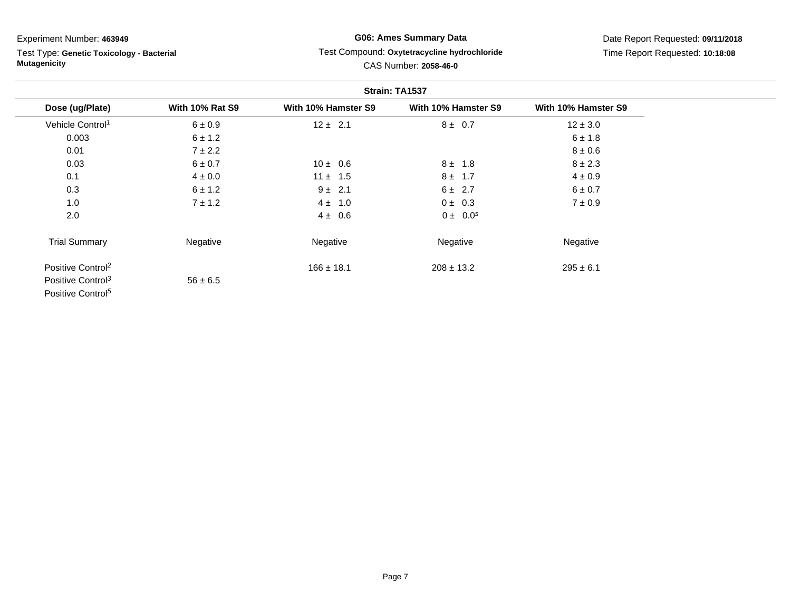Test Type: **Genetic Toxicology - Bacterial Mutagenicity**

# **G06: Ames Summary Data**Test Compound: **Oxytetracycline hydrochloride**

|                               |                        |                     | Strain: TA1537      |                     |  |
|-------------------------------|------------------------|---------------------|---------------------|---------------------|--|
| Dose (ug/Plate)               | <b>With 10% Rat S9</b> | With 10% Hamster S9 | With 10% Hamster S9 | With 10% Hamster S9 |  |
| Vehicle Control <sup>1</sup>  | $6 \pm 0.9$            | $12 \pm 2.1$        | $8 \pm 0.7$         | $12 \pm 3.0$        |  |
| 0.003                         | $6 \pm 1.2$            |                     |                     | $6 \pm 1.8$         |  |
| 0.01                          | $7 \pm 2.2$            |                     |                     | $8 \pm 0.6$         |  |
| 0.03                          | 6 ± 0.7                | $10 \pm 0.6$        | $8 \pm 1.8$         | $8 \pm 2.3$         |  |
| 0.1                           | $4 \pm 0.0$            | $11 \pm 1.5$        | $8 \pm 1.7$         | $4 \pm 0.9$         |  |
| 0.3                           | 6 ± 1.2                | $9 \pm 2.1$         | $6 \pm 2.7$         | $6 \pm 0.7$         |  |
| 1.0                           | $7 \pm 1.2$            | $4 \pm 1.0$         | $0 \pm 0.3$         | $7 \pm 0.9$         |  |
| 2.0                           |                        | $4 \pm 0.6$         | $0 \pm 0.0^s$       |                     |  |
| <b>Trial Summary</b>          | Negative               | Negative            | Negative            | Negative            |  |
| Positive Control <sup>2</sup> |                        | $166 \pm 18.1$      | $208 \pm 13.2$      | $295 \pm 6.1$       |  |
| Positive Control <sup>3</sup> | $56 \pm 6.5$           |                     |                     |                     |  |
| Positive Control <sup>5</sup> |                        |                     |                     |                     |  |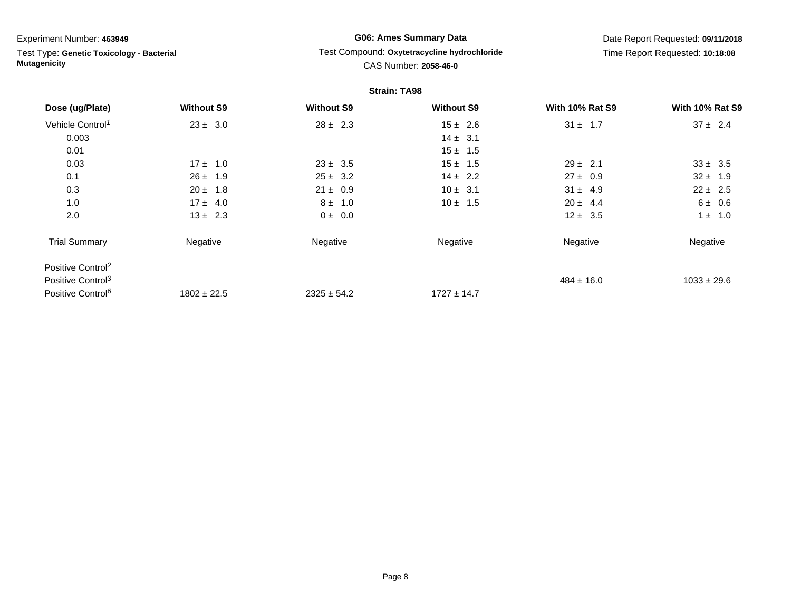Test Type: **Genetic Toxicology - Bacterial Mutagenicity**

### **G06: Ames Summary Data** Test Compound: **Oxytetracycline hydrochloride**CAS Number: **2058-46-0**

|                               |                   |                   | <b>Strain: TA98</b> |                        |                        |
|-------------------------------|-------------------|-------------------|---------------------|------------------------|------------------------|
| Dose (ug/Plate)               | <b>Without S9</b> | <b>Without S9</b> | <b>Without S9</b>   | <b>With 10% Rat S9</b> | <b>With 10% Rat S9</b> |
| Vehicle Control <sup>1</sup>  | $23 \pm 3.0$      | $28 \pm 2.3$      | $15 \pm 2.6$        | $31 \pm 1.7$           | $37 \pm 2.4$           |
| 0.003                         |                   |                   | $14 \pm 3.1$        |                        |                        |
| 0.01                          |                   |                   | $15 \pm 1.5$        |                        |                        |
| 0.03                          | $17 \pm 1.0$      | $23 \pm 3.5$      | $15 \pm 1.5$        | $29 \pm 2.1$           | $33 \pm 3.5$           |
| 0.1                           | $26 \pm 1.9$      | $25 \pm 3.2$      | $14 \pm 2.2$        | $27 \pm 0.9$           | $32 \pm 1.9$           |
| 0.3                           | $20 \pm 1.8$      | $21 \pm 0.9$      | $10 \pm 3.1$        | $31 \pm 4.9$           | $22 \pm 2.5$           |
| 1.0                           | $17 \pm 4.0$      | $8 \pm 1.0$       | $10 \pm 1.5$        | $20 \pm 4.4$           | 6 ± 0.6                |
| 2.0                           | $13 \pm 2.3$      | $0 \pm 0.0$       |                     | $12 \pm 3.5$           | $1 \pm 1.0$            |
| <b>Trial Summary</b>          | Negative          | Negative          | Negative            | Negative               | Negative               |
| Positive Control <sup>2</sup> |                   |                   |                     |                        |                        |
| Positive Control <sup>3</sup> |                   |                   |                     | $484 \pm 16.0$         | $1033 \pm 29.6$        |
| Positive Control <sup>6</sup> | $1802 \pm 22.5$   | $2325 \pm 54.2$   | $1727 \pm 14.7$     |                        |                        |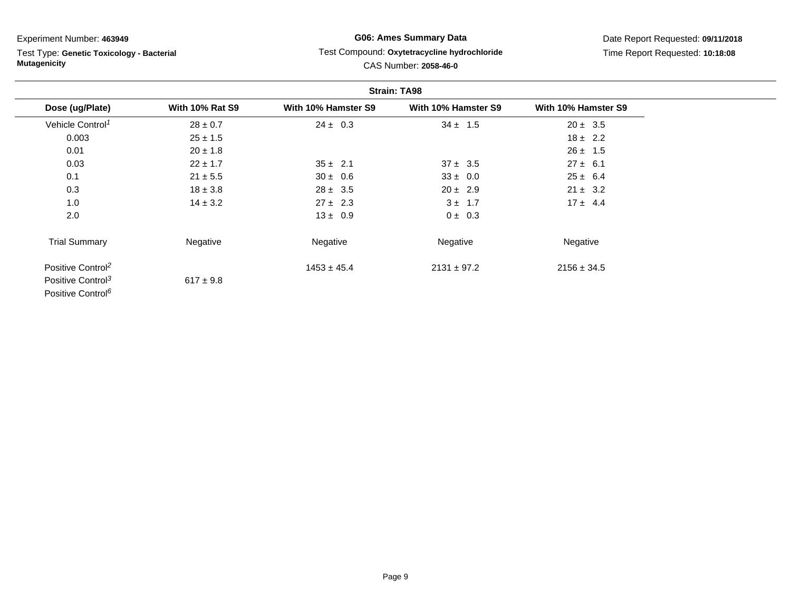Test Type: **Genetic Toxicology - Bacterial Mutagenicity**

### **G06: Ames Summary Data** Test Compound: **Oxytetracycline hydrochloride**CAS Number: **2058-46-0**

|                               |                        | <b>Strain: TA98</b> |                     |                     |
|-------------------------------|------------------------|---------------------|---------------------|---------------------|
| Dose (ug/Plate)               | <b>With 10% Rat S9</b> | With 10% Hamster S9 | With 10% Hamster S9 | With 10% Hamster S9 |
| Vehicle Control <sup>1</sup>  | $28 \pm 0.7$           | $24 \pm 0.3$        | $34 \pm 1.5$        | $20 \pm 3.5$        |
| 0.003                         | $25 \pm 1.5$           |                     |                     | $18 \pm 2.2$        |
| 0.01                          | $20 \pm 1.8$           |                     |                     | $26 \pm 1.5$        |
| 0.03                          | $22 \pm 1.7$           | $35 \pm 2.1$        | $37 \pm 3.5$        | $27 \pm 6.1$        |
| 0.1                           | $21 \pm 5.5$           | $30 \pm 0.6$        | $33 \pm 0.0$        | $25 \pm 6.4$        |
| 0.3                           | $18 \pm 3.8$           | $28 \pm 3.5$        | $20 \pm 2.9$        | $21 \pm 3.2$        |
| 1.0                           | $14 \pm 3.2$           | $27 \pm 2.3$        | $3 \pm 1.7$         | $17 \pm 4.4$        |
| 2.0                           |                        | $13 \pm 0.9$        | $0 \pm 0.3$         |                     |
| <b>Trial Summary</b>          | Negative               | Negative            | Negative            | Negative            |
| Positive Control <sup>2</sup> |                        | $1453 \pm 45.4$     | $2131 \pm 97.2$     | $2156 \pm 34.5$     |
| Positive Control <sup>3</sup> | $617 \pm 9.8$          |                     |                     |                     |
| Positive Control <sup>6</sup> |                        |                     |                     |                     |